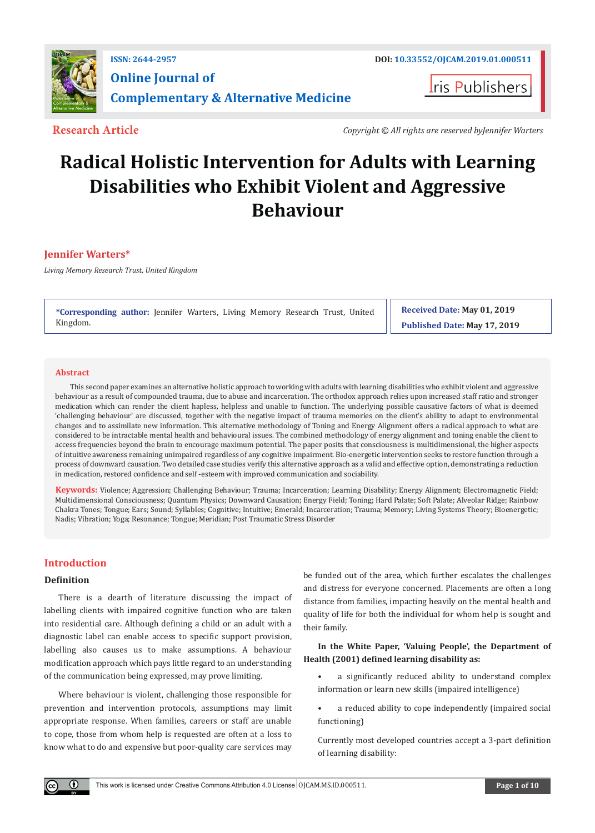

**ris Publishers** 

**Research Article** *Copyright © All rights are reserved byJennifer Warters*

# **Radical Holistic Intervention for Adults with Learning Disabilities who Exhibit Violent and Aggressive Behaviour**

# **Jennifer Warters\***

*Living Memory Research Trust, United Kingdom*

**\*Corresponding author:** Jennifer Warters, Living Memory Research Trust, United Kingdom.

**Received Date: May 01, 2019 Published Date: May 17, 2019**

#### **Abstract**

This second paper examines an alternative holistic approach to working with adults with learning disabilities who exhibit violent and aggressive behaviour as a result of compounded trauma, due to abuse and incarceration. The orthodox approach relies upon increased staff ratio and stronger medication which can render the client hapless, helpless and unable to function. The underlying possible causative factors of what is deemed 'challenging behaviour' are discussed, together with the negative impact of trauma memories on the client's ability to adapt to environmental changes and to assimilate new information. This alternative methodology of Toning and Energy Alignment offers a radical approach to what are considered to be intractable mental health and behavioural issues. The combined methodology of energy alignment and toning enable the client to access frequencies beyond the brain to encourage maximum potential. The paper posits that consciousness is multidimensional, the higher aspects of intuitive awareness remaining unimpaired regardless of any cognitive impairment. Bio-energetic intervention seeks to restore function through a process of downward causation. Two detailed case studies verify this alternative approach as a valid and effective option, demonstrating a reduction in medication, restored confidence and self -esteem with improved communication and sociability.

**Keywords:** Violence; Aggression; Challenging Behaviour; Trauma; Incarceration; Learning Disability; Energy Alignment; Electromagnetic Field; Multidimensional Consciousness; Quantum Physics; Downward Causation; Energy Field; Toning; Hard Palate; Soft Palate; Alveolar Ridge; Rainbow Chakra Tones; Tongue; Ears; Sound; Syllables; Cognitive; Intuitive; Emerald; Incarceration; Trauma; Memory; Living Systems Theory; Bioenergetic; Nadis; Vibration; Yoga; Resonance; Tongue; Meridian; Post Traumatic Stress Disorder

# **Introduction**

 $\left( \mathbf{r} \right)$ 

# **Definition**

There is a dearth of literature discussing the impact of labelling clients with impaired cognitive function who are taken into residential care. Although defining a child or an adult with a diagnostic label can enable access to specific support provision, labelling also causes us to make assumptions. A behaviour modification approach which pays little regard to an understanding of the communication being expressed, may prove limiting.

Where behaviour is violent, challenging those responsible for prevention and intervention protocols, assumptions may limit appropriate response. When families, careers or staff are unable to cope, those from whom help is requested are often at a loss to know what to do and expensive but poor-quality care services may be funded out of the area, which further escalates the challenges and distress for everyone concerned. Placements are often a long distance from families, impacting heavily on the mental health and quality of life for both the individual for whom help is sought and their family.

# **In the White Paper, 'Valuing People', the Department of Health (2001) defined learning disability as:**

- a significantly reduced ability to understand complex information or learn new skills (impaired intelligence)
- a reduced ability to cope independently (impaired social functioning)

Currently most developed countries accept a 3-part definition of learning disability: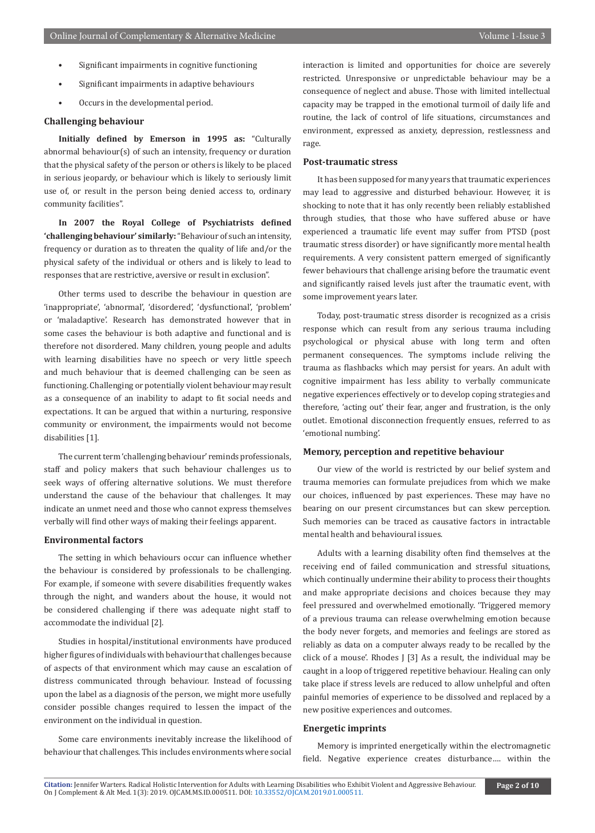- Significant impairments in cognitive functioning
- Significant impairments in adaptive behaviours
- Occurs in the developmental period.

# **Challenging behaviour**

**Initially defined by Emerson in 1995 as:** "Culturally abnormal behaviour(s) of such an intensity, frequency or duration that the physical safety of the person or others is likely to be placed in serious jeopardy, or behaviour which is likely to seriously limit use of, or result in the person being denied access to, ordinary community facilities".

**In 2007 the Royal College of Psychiatrists defined 'challenging behaviour' similarly:** "Behaviour of such an intensity, frequency or duration as to threaten the quality of life and/or the physical safety of the individual or others and is likely to lead to responses that are restrictive, aversive or result in exclusion".

Other terms used to describe the behaviour in question are 'inappropriate', 'abnormal', 'disordered', 'dysfunctional', 'problem' or 'maladaptive'. Research has demonstrated however that in some cases the behaviour is both adaptive and functional and is therefore not disordered. Many children, young people and adults with learning disabilities have no speech or very little speech and much behaviour that is deemed challenging can be seen as functioning. Challenging or potentially violent behaviour may result as a consequence of an inability to adapt to fit social needs and expectations. It can be argued that within a nurturing, responsive community or environment, the impairments would not become disabilities [1].

The current term 'challenging behaviour' reminds professionals, staff and policy makers that such behaviour challenges us to seek ways of offering alternative solutions. We must therefore understand the cause of the behaviour that challenges. It may indicate an unmet need and those who cannot express themselves verbally will find other ways of making their feelings apparent.

#### **Environmental factors**

The setting in which behaviours occur can influence whether the behaviour is considered by professionals to be challenging. For example, if someone with severe disabilities frequently wakes through the night, and wanders about the house, it would not be considered challenging if there was adequate night staff to accommodate the individual [2].

Studies in hospital/institutional environments have produced higher figures of individuals with behaviour that challenges because of aspects of that environment which may cause an escalation of distress communicated through behaviour. Instead of focussing upon the label as a diagnosis of the person, we might more usefully consider possible changes required to lessen the impact of the environment on the individual in question.

Some care environments inevitably increase the likelihood of behaviour that challenges. This includes environments where social interaction is limited and opportunities for choice are severely restricted. Unresponsive or unpredictable behaviour may be a consequence of neglect and abuse. Those with limited intellectual capacity may be trapped in the emotional turmoil of daily life and routine, the lack of control of life situations, circumstances and environment, expressed as anxiety, depression, restlessness and rage.

#### **Post-traumatic stress**

It has been supposed for many years that traumatic experiences may lead to aggressive and disturbed behaviour. However, it is shocking to note that it has only recently been reliably established through studies, that those who have suffered abuse or have experienced a traumatic life event may suffer from PTSD (post traumatic stress disorder) or have significantly more mental health requirements. A very consistent pattern emerged of significantly fewer behaviours that challenge arising before the traumatic event and significantly raised levels just after the traumatic event, with some improvement years later.

Today, post-traumatic stress disorder is recognized as a crisis response which can result from any serious trauma including psychological or physical abuse with long term and often permanent consequences. The symptoms include reliving the trauma as flashbacks which may persist for years. An adult with cognitive impairment has less ability to verbally communicate negative experiences effectively or to develop coping strategies and therefore, 'acting out' their fear, anger and frustration, is the only outlet. Emotional disconnection frequently ensues, referred to as 'emotional numbing'.

# **Memory, perception and repetitive behaviour**

Our view of the world is restricted by our belief system and trauma memories can formulate prejudices from which we make our choices, influenced by past experiences. These may have no bearing on our present circumstances but can skew perception. Such memories can be traced as causative factors in intractable mental health and behavioural issues.

Adults with a learning disability often find themselves at the receiving end of failed communication and stressful situations, which continually undermine their ability to process their thoughts and make appropriate decisions and choices because they may feel pressured and overwhelmed emotionally. 'Triggered memory of a previous trauma can release overwhelming emotion because the body never forgets, and memories and feelings are stored as reliably as data on a computer always ready to be recalled by the click of a mouse'. Rhodes J [3] As a result, the individual may be caught in a loop of triggered repetitive behaviour. Healing can only take place if stress levels are reduced to allow unhelpful and often painful memories of experience to be dissolved and replaced by a new positive experiences and outcomes.

# **Energetic imprints**

Memory is imprinted energetically within the electromagnetic field. Negative experience creates disturbance…. within the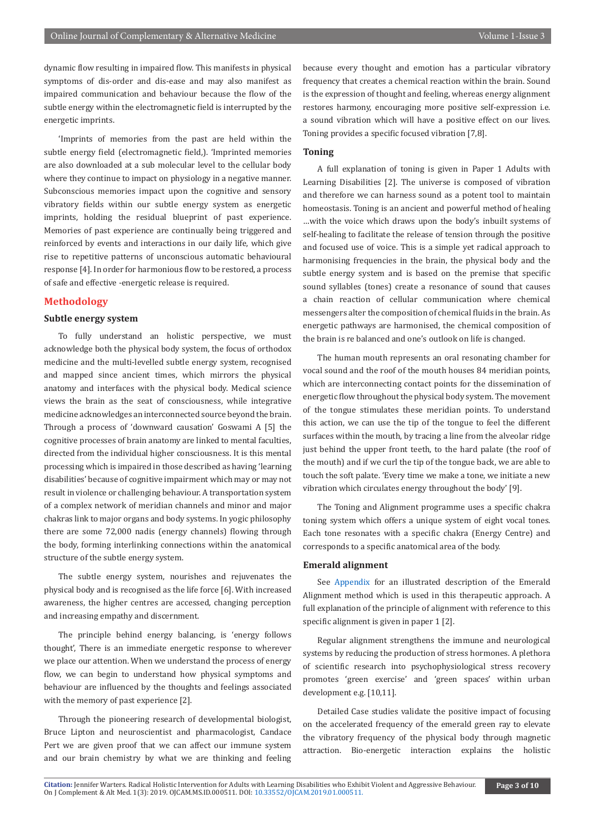dynamic flow resulting in impaired flow. This manifests in physical symptoms of dis-order and dis-ease and may also manifest as impaired communication and behaviour because the flow of the subtle energy within the electromagnetic field is interrupted by the energetic imprints.

'Imprints of memories from the past are held within the subtle energy field (electromagnetic field,). 'Imprinted memories are also downloaded at a sub molecular level to the cellular body where they continue to impact on physiology in a negative manner. Subconscious memories impact upon the cognitive and sensory vibratory fields within our subtle energy system as energetic imprints, holding the residual blueprint of past experience. Memories of past experience are continually being triggered and reinforced by events and interactions in our daily life, which give rise to repetitive patterns of unconscious automatic behavioural response [4]. In order for harmonious flow to be restored, a process of safe and effective -energetic release is required.

# **Methodology**

# **Subtle energy system**

To fully understand an holistic perspective, we must acknowledge both the physical body system, the focus of orthodox medicine and the multi-levelled subtle energy system, recognised and mapped since ancient times, which mirrors the physical anatomy and interfaces with the physical body. Medical science views the brain as the seat of consciousness, while integrative medicine acknowledges an interconnected source beyond the brain. Through a process of 'downward causation' Goswami A [5] the cognitive processes of brain anatomy are linked to mental faculties, directed from the individual higher consciousness. It is this mental processing which is impaired in those described as having 'learning disabilities' because of cognitive impairment which may or may not result in violence or challenging behaviour. A transportation system of a complex network of meridian channels and minor and major chakras link to major organs and body systems. In yogic philosophy there are some 72,000 nadis (energy channels) flowing through the body, forming interlinking connections within the anatomical structure of the subtle energy system.

The subtle energy system, nourishes and rejuvenates the physical body and is recognised as the life force [6]. With increased awareness, the higher centres are accessed, changing perception and increasing empathy and discernment.

The principle behind energy balancing, is 'energy follows thought', There is an immediate energetic response to wherever we place our attention. When we understand the process of energy flow, we can begin to understand how physical symptoms and behaviour are influenced by the thoughts and feelings associated with the memory of past experience [2].

Through the pioneering research of developmental biologist, Bruce Lipton and neuroscientist and pharmacologist, Candace Pert we are given proof that we can affect our immune system and our brain chemistry by what we are thinking and feeling because every thought and emotion has a particular vibratory frequency that creates a chemical reaction within the brain. Sound is the expression of thought and feeling, whereas energy alignment restores harmony, encouraging more positive self-expression i.e. a sound vibration which will have a positive effect on our lives. Toning provides a specific focused vibration [7,8].

# **Toning**

A full explanation of toning is given in Paper 1 Adults with Learning Disabilities [2]. The universe is composed of vibration and therefore we can harness sound as a potent tool to maintain homeostasis. Toning is an ancient and powerful method of healing …with the voice which draws upon the body's inbuilt systems of self-healing to facilitate the release of tension through the positive and focused use of voice. This is a simple yet radical approach to harmonising frequencies in the brain, the physical body and the subtle energy system and is based on the premise that specific sound syllables (tones) create a resonance of sound that causes a chain reaction of cellular communication where chemical messengers alter the composition of chemical fluids in the brain. As energetic pathways are harmonised, the chemical composition of the brain is re balanced and one's outlook on life is changed.

The human mouth represents an oral resonating chamber for vocal sound and the roof of the mouth houses 84 meridian points, which are interconnecting contact points for the dissemination of energetic flow throughout the physical body system. The movement of the tongue stimulates these meridian points. To understand this action, we can use the tip of the tongue to feel the different surfaces within the mouth, by tracing a line from the alveolar ridge just behind the upper front teeth, to the hard palate (the roof of the mouth) and if we curl the tip of the tongue back, we are able to touch the soft palate. 'Every time we make a tone, we initiate a new vibration which circulates energy throughout the body' [9].

The Toning and Alignment programme uses a specific chakra toning system which offers a unique system of eight vocal tones. Each tone resonates with a specific chakra (Energy Centre) and corresponds to a specific anatomical area of the body.

# **Emerald alignment**

See [Appendix](https://irispublishers.com/ojcam/pdf/OJCAM.MS.ID.000511.Appendix.pdf) for an illustrated description of the Emerald Alignment method which is used in this therapeutic approach. A full explanation of the principle of alignment with reference to this specific alignment is given in paper 1 [2].

Regular alignment strengthens the immune and neurological systems by reducing the production of stress hormones. A plethora of scientific research into psychophysiological stress recovery promotes 'green exercise' and 'green spaces' within urban development e.g. [10,11].

Detailed Case studies validate the positive impact of focusing on the accelerated frequency of the emerald green ray to elevate the vibratory frequency of the physical body through magnetic attraction. Bio-energetic interaction explains the holistic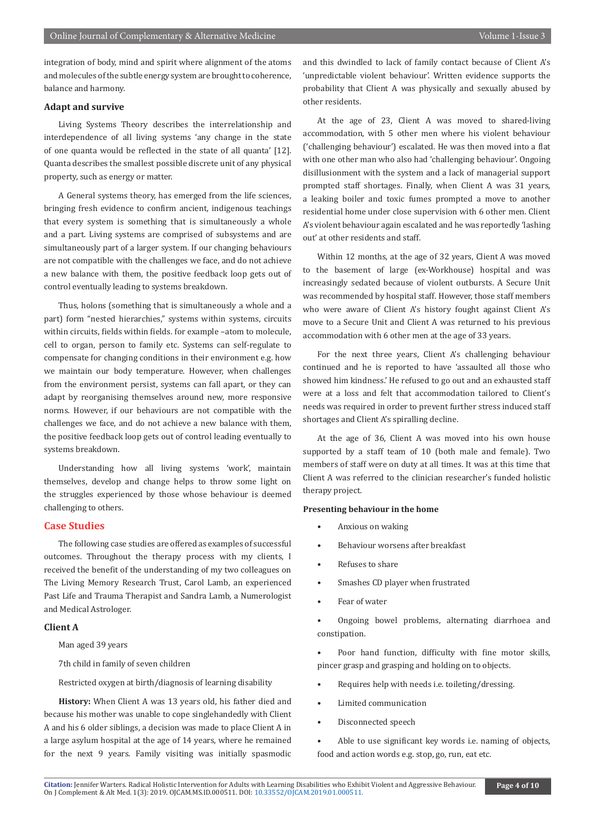integration of body, mind and spirit where alignment of the atoms and molecules of the subtle energy system are brought to coherence, balance and harmony.

# **Adapt and survive**

Living Systems Theory describes the interrelationship and interdependence of all living systems 'any change in the state of one quanta would be reflected in the state of all quanta' [12]. Quanta describes the smallest possible discrete unit of any physical property, such as energy or matter.

A General systems theory, has emerged from the life sciences, bringing fresh evidence to confirm ancient, indigenous teachings that every system is something that is simultaneously a whole and a part. Living systems are comprised of subsystems and are simultaneously part of a larger system. If our changing behaviours are not compatible with the challenges we face, and do not achieve a new balance with them, the positive feedback loop gets out of control eventually leading to systems breakdown.

Thus, holons (something that is simultaneously a whole and a part) form "nested hierarchies," systems within systems, circuits within circuits, fields within fields. for example –atom to molecule, cell to organ, person to family etc. Systems can self-regulate to compensate for changing conditions in their environment e.g. how we maintain our body temperature. However, when challenges from the environment persist, systems can fall apart, or they can adapt by reorganising themselves around new, more responsive norms. However, if our behaviours are not compatible with the challenges we face, and do not achieve a new balance with them, the positive feedback loop gets out of control leading eventually to systems breakdown.

Understanding how all living systems 'work', maintain themselves, develop and change helps to throw some light on the struggles experienced by those whose behaviour is deemed challenging to others.

# **Case Studies**

The following case studies are offered as examples of successful outcomes. Throughout the therapy process with my clients, I received the benefit of the understanding of my two colleagues on The Living Memory Research Trust, Carol Lamb, an experienced Past Life and Trauma Therapist and Sandra Lamb, a Numerologist and Medical Astrologer.

# **Client A**

Man aged 39 years

7th child in family of seven children

Restricted oxygen at birth/diagnosis of learning disability

**History:** When Client A was 13 years old, his father died and because his mother was unable to cope singlehandedly with Client A and his 6 older siblings, a decision was made to place Client A in a large asylum hospital at the age of 14 years, where he remained for the next 9 years. Family visiting was initially spasmodic and this dwindled to lack of family contact because of Client A's 'unpredictable violent behaviour'. Written evidence supports the probability that Client A was physically and sexually abused by other residents.

At the age of 23, Client A was moved to shared-living accommodation, with 5 other men where his violent behaviour ('challenging behaviour') escalated. He was then moved into a flat with one other man who also had 'challenging behaviour'. Ongoing disillusionment with the system and a lack of managerial support prompted staff shortages. Finally, when Client A was 31 years, a leaking boiler and toxic fumes prompted a move to another residential home under close supervision with 6 other men. Client A's violent behaviour again escalated and he was reportedly 'lashing out' at other residents and staff.

Within 12 months, at the age of 32 years, Client A was moved to the basement of large (ex-Workhouse) hospital and was increasingly sedated because of violent outbursts. A Secure Unit was recommended by hospital staff. However, those staff members who were aware of Client A's history fought against Client A's move to a Secure Unit and Client A was returned to his previous accommodation with 6 other men at the age of 33 years.

For the next three years, Client A's challenging behaviour continued and he is reported to have 'assaulted all those who showed him kindness.' He refused to go out and an exhausted staff were at a loss and felt that accommodation tailored to Client's needs was required in order to prevent further stress induced staff shortages and Client A's spiralling decline.

At the age of 36, Client A was moved into his own house supported by a staff team of 10 (both male and female). Two members of staff were on duty at all times. It was at this time that Client A was referred to the clinician researcher's funded holistic therapy project.

#### **Presenting behaviour in the home**

- Anxious on waking
- Behaviour worsens after breakfast
- Refuses to share
- Smashes CD player when frustrated
- Fear of water

• Ongoing bowel problems, alternating diarrhoea and constipation.

Poor hand function, difficulty with fine motor skills, pincer grasp and grasping and holding on to objects.

- Requires help with needs i.e. toileting/dressing.
- Limited communication
- Disconnected speech
- Able to use significant key words i.e. naming of objects, food and action words e.g. stop, go, run, eat etc.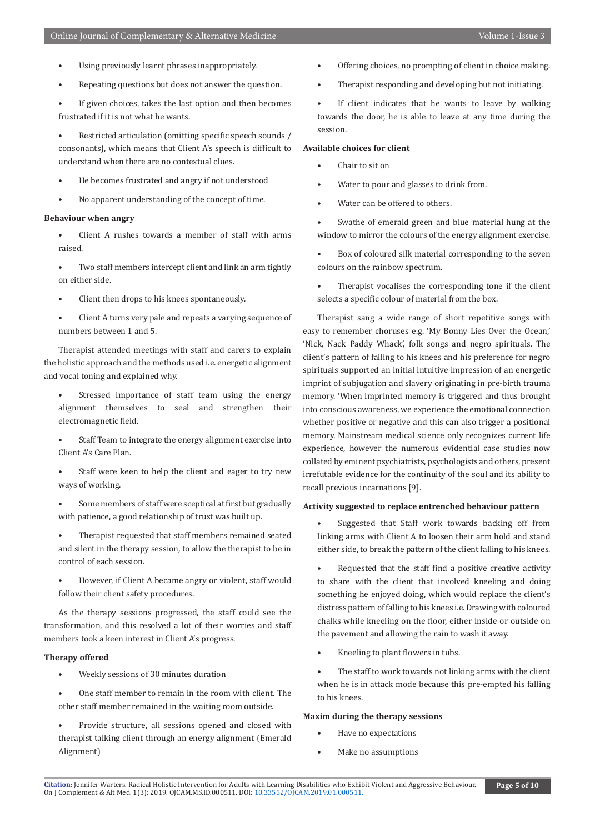- Using previously learnt phrases inappropriately.
- Repeating questions but does not answer the question.

If given choices, takes the last option and then becomes frustrated if it is not what he wants.

Restricted articulation (omitting specific speech sounds / consonants), which means that Client A's speech is difficult to understand when there are no contextual clues.

- He becomes frustrated and angry if not understood
- No apparent understanding of the concept of time.

# **Behaviour when angry**

- Client A rushes towards a member of staff with arms raised.
- Two staff members intercept client and link an arm tightly on either side.
- Client then drops to his knees spontaneously.
- Client A turns very pale and repeats a varying sequence of numbers between 1 and 5.

Therapist attended meetings with staff and carers to explain the holistic approach and the methods used i.e. energetic alignment and vocal toning and explained why.

- Stressed importance of staff team using the energy alignment themselves to seal and strengthen their electromagnetic field.
- Staff Team to integrate the energy alignment exercise into Client A's Care Plan.
- Staff were keen to help the client and eager to try new ways of working.
- Some members of staff were sceptical at first but gradually with patience, a good relationship of trust was built up.
- Therapist requested that staff members remained seated and silent in the therapy session, to allow the therapist to be in control of each session.
- However, if Client A became angry or violent, staff would follow their client safety procedures.

As the therapy sessions progressed, the staff could see the transformation, and this resolved a lot of their worries and staff members took a keen interest in Client A's progress.

# **Therapy offered**

- Weekly sessions of 30 minutes duration
- One staff member to remain in the room with client. The other staff member remained in the waiting room outside.
- Provide structure, all sessions opened and closed with therapist talking client through an energy alignment (Emerald Alignment)
- Offering choices, no prompting of client in choice making.
- Therapist responding and developing but not initiating.

If client indicates that he wants to leave by walking towards the door, he is able to leave at any time during the session.

# **Available choices for client**

- Chair to sit on
- Water to pour and glasses to drink from.
- Water can be offered to others.
- Swathe of emerald green and blue material hung at the window to mirror the colours of the energy alignment exercise.
- Box of coloured silk material corresponding to the seven colours on the rainbow spectrum.
- Therapist vocalises the corresponding tone if the client selects a specific colour of material from the box.

Therapist sang a wide range of short repetitive songs with easy to remember choruses e.g. 'My Bonny Lies Over the Ocean,' 'Nick, Nack Paddy Whack', folk songs and negro spirituals. The client's pattern of falling to his knees and his preference for negro spirituals supported an initial intuitive impression of an energetic imprint of subjugation and slavery originating in pre-birth trauma memory. 'When imprinted memory is triggered and thus brought into conscious awareness, we experience the emotional connection whether positive or negative and this can also trigger a positional memory. Mainstream medical science only recognizes current life experience, however the numerous evidential case studies now collated by eminent psychiatrists, psychologists and others, present irrefutable evidence for the continuity of the soul and its ability to recall previous incarnations [9].

#### **Activity suggested to replace entrenched behaviour pattern**

- Suggested that Staff work towards backing off from linking arms with Client A to loosen their arm hold and stand either side, to break the pattern of the client falling to his knees.
- Requested that the staff find a positive creative activity to share with the client that involved kneeling and doing something he enjoyed doing, which would replace the client's distress pattern of falling to his knees i.e. Drawing with coloured chalks while kneeling on the floor, either inside or outside on the pavement and allowing the rain to wash it away.
- Kneeling to plant flowers in tubs.
- The staff to work towards not linking arms with the client when he is in attack mode because this pre-empted his falling to his knees.

# **Maxim during the therapy sessions**

- Have no expectations
- Make no assumptions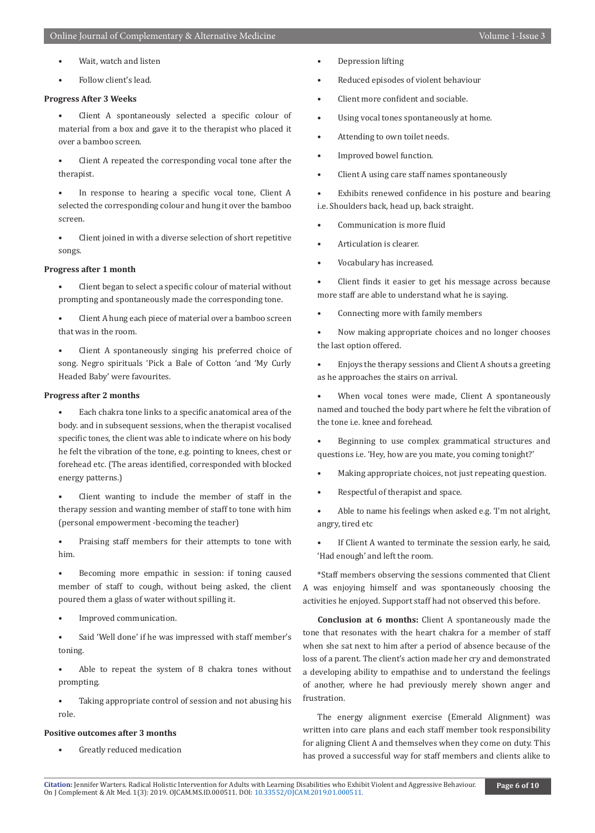- Wait, watch and listen
- Follow client's lead.

# **Progress After 3 Weeks**

- Client A spontaneously selected a specific colour of material from a box and gave it to the therapist who placed it over a bamboo screen.
- Client A repeated the corresponding vocal tone after the therapist.

In response to hearing a specific vocal tone, Client A selected the corresponding colour and hung it over the bamboo screen.

• Client joined in with a diverse selection of short repetitive songs.

### **Progress after 1 month**

- Client began to select a specific colour of material without prompting and spontaneously made the corresponding tone.
- Client A hung each piece of material over a bamboo screen that was in the room.
- Client A spontaneously singing his preferred choice of song. Negro spirituals 'Pick a Bale of Cotton 'and 'My Curly Headed Baby' were favourites.

# **Progress after 2 months**

• Each chakra tone links to a specific anatomical area of the body. and in subsequent sessions, when the therapist vocalised specific tones, the client was able to indicate where on his body he felt the vibration of the tone, e.g. pointing to knees, chest or forehead etc. (The areas identified, corresponded with blocked energy patterns.)

Client wanting to include the member of staff in the therapy session and wanting member of staff to tone with him (personal empowerment -becoming the teacher)

Praising staff members for their attempts to tone with him.

- Becoming more empathic in session: if toning caused member of staff to cough, without being asked, the client poured them a glass of water without spilling it.
- Improved communication.

• Said 'Well done' if he was impressed with staff member's toning.

- Able to repeat the system of 8 chakra tones without prompting.
- Taking appropriate control of session and not abusing his role.

#### **Positive outcomes after 3 months**

• Greatly reduced medication

- Depression lifting
- Reduced episodes of violent behaviour
- Client more confident and sociable.
- Using vocal tones spontaneously at home.
- Attending to own toilet needs.
- Improved bowel function.
- Client A using care staff names spontaneously

Exhibits renewed confidence in his posture and bearing i.e. Shoulders back, head up, back straight.

- Communication is more fluid
- Articulation is clearer.
- Vocabulary has increased.

Client finds it easier to get his message across because more staff are able to understand what he is saying.

• Connecting more with family members

• Now making appropriate choices and no longer chooses the last option offered.

• Enjoys the therapy sessions and Client A shouts a greeting as he approaches the stairs on arrival.

When vocal tones were made, Client A spontaneously named and touched the body part where he felt the vibration of the tone i.e. knee and forehead.

• Beginning to use complex grammatical structures and questions i.e. 'Hey, how are you mate, you coming tonight?'

- Making appropriate choices, not just repeating question.
- Respectful of therapist and space.

• Able to name his feelings when asked e.g. 'I'm not alright, angry, tired etc

If Client A wanted to terminate the session early, he said, 'Had enough' and left the room.

\*Staff members observing the sessions commented that Client A was enjoying himself and was spontaneously choosing the activities he enjoyed. Support staff had not observed this before.

**Conclusion at 6 months:** Client A spontaneously made the tone that resonates with the heart chakra for a member of staff when she sat next to him after a period of absence because of the loss of a parent. The client's action made her cry and demonstrated a developing ability to empathise and to understand the feelings of another, where he had previously merely shown anger and frustration.

The energy alignment exercise (Emerald Alignment) was written into care plans and each staff member took responsibility for aligning Client A and themselves when they come on duty. This has proved a successful way for staff members and clients alike to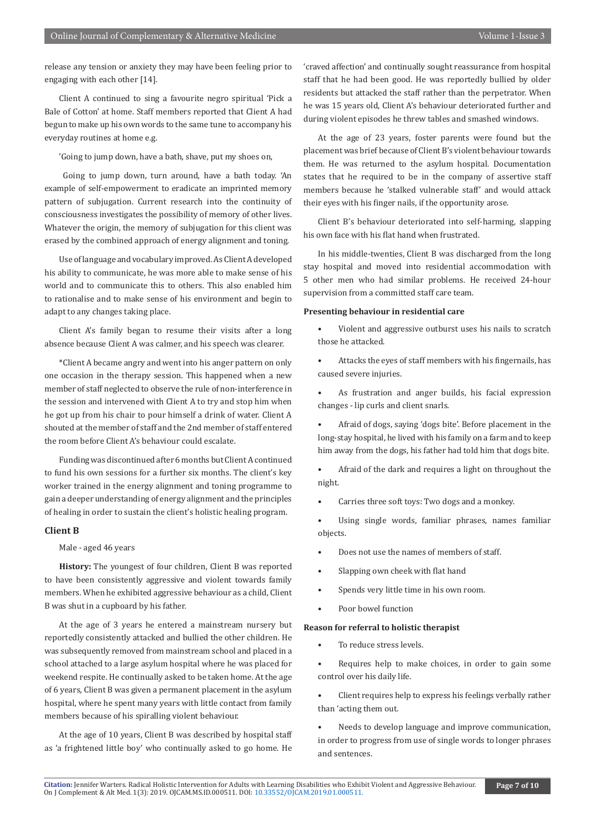release any tension or anxiety they may have been feeling prior to engaging with each other [14].

Client A continued to sing a favourite negro spiritual 'Pick a Bale of Cotton' at home. Staff members reported that Client A had begun to make up his own words to the same tune to accompany his everyday routines at home e.g.

'Going to jump down, have a bath, shave, put my shoes on,

 Going to jump down, turn around, have a bath today. 'An example of self-empowerment to eradicate an imprinted memory pattern of subjugation. Current research into the continuity of consciousness investigates the possibility of memory of other lives. Whatever the origin, the memory of subjugation for this client was erased by the combined approach of energy alignment and toning.

Use of language and vocabulary improved. As Client A developed his ability to communicate, he was more able to make sense of his world and to communicate this to others. This also enabled him to rationalise and to make sense of his environment and begin to adapt to any changes taking place.

Client A's family began to resume their visits after a long absence because Client A was calmer, and his speech was clearer.

\*Client A became angry and went into his anger pattern on only one occasion in the therapy session. This happened when a new member of staff neglected to observe the rule of non-interference in the session and intervened with Client A to try and stop him when he got up from his chair to pour himself a drink of water. Client A shouted at the member of staff and the 2nd member of staff entered the room before Client A's behaviour could escalate.

Funding was discontinued after 6 months but Client A continued to fund his own sessions for a further six months. The client's key worker trained in the energy alignment and toning programme to gain a deeper understanding of energy alignment and the principles of healing in order to sustain the client's holistic healing program.

# **Client B**

Male - aged 46 years

**History:** The youngest of four children, Client B was reported to have been consistently aggressive and violent towards family members. When he exhibited aggressive behaviour as a child, Client B was shut in a cupboard by his father.

At the age of 3 years he entered a mainstream nursery but reportedly consistently attacked and bullied the other children. He was subsequently removed from mainstream school and placed in a school attached to a large asylum hospital where he was placed for weekend respite. He continually asked to be taken home. At the age of 6 years, Client B was given a permanent placement in the asylum hospital, where he spent many years with little contact from family members because of his spiralling violent behaviour.

At the age of 10 years, Client B was described by hospital staff as 'a frightened little boy' who continually asked to go home. He 'craved affection' and continually sought reassurance from hospital staff that he had been good. He was reportedly bullied by older residents but attacked the staff rather than the perpetrator. When he was 15 years old, Client A's behaviour deteriorated further and during violent episodes he threw tables and smashed windows.

At the age of 23 years, foster parents were found but the placement was brief because of Client B's violent behaviour towards them. He was returned to the asylum hospital. Documentation states that he required to be in the company of assertive staff members because he 'stalked vulnerable staff' and would attack their eyes with his finger nails, if the opportunity arose.

Client B's behaviour deteriorated into self-harming, slapping his own face with his flat hand when frustrated.

In his middle-twenties, Client B was discharged from the long stay hospital and moved into residential accommodation with 5 other men who had similar problems. He received 24-hour supervision from a committed staff care team.

# **Presenting behaviour in residential care**

- Violent and aggressive outburst uses his nails to scratch those he attacked.
- Attacks the eyes of staff members with his fingernails, has caused severe injuries.
- As frustration and anger builds, his facial expression changes - lip curls and client snarls.

• Afraid of dogs, saying 'dogs bite'. Before placement in the long-stay hospital, he lived with his family on a farm and to keep him away from the dogs, his father had told him that dogs bite.

• Afraid of the dark and requires a light on throughout the night.

Carries three soft toys: Two dogs and a monkey.

Using single words, familiar phrases, names familiar objects.

- Does not use the names of members of staff.
- Slapping own cheek with flat hand
- Spends very little time in his own room.
- Poor bowel function

### **Reason for referral to holistic therapist**

To reduce stress levels.

• Requires help to make choices, in order to gain some control over his daily life.

- Client requires help to express his feelings verbally rather than 'acting them out.
- Needs to develop language and improve communication, in order to progress from use of single words to longer phrases and sentences.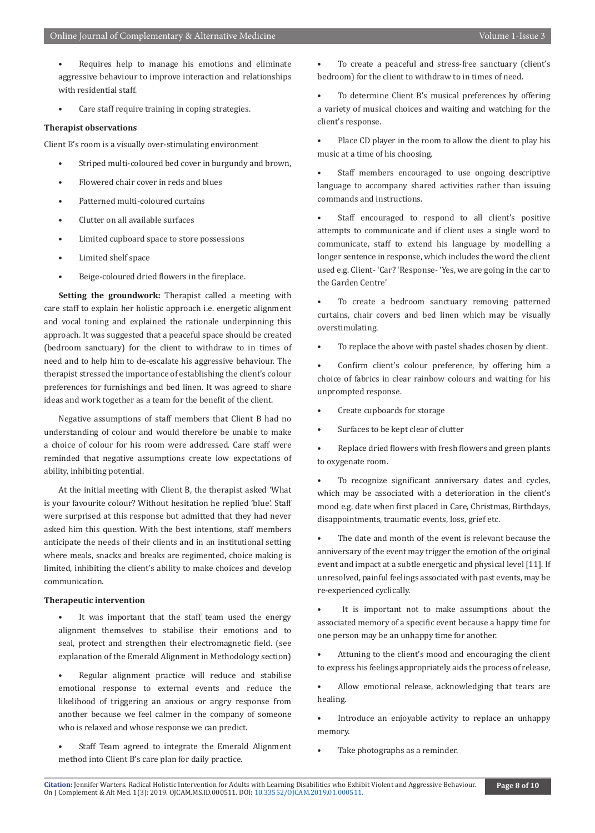- Requires help to manage his emotions and eliminate aggressive behaviour to improve interaction and relationships with residential staff.
- Care staff require training in coping strategies.

# **Therapist observations**

Client B's room is a visually over-stimulating environment

- Striped multi-coloured bed cover in burgundy and brown,
- Flowered chair cover in reds and blues
- Patterned multi-coloured curtains
- Clutter on all available surfaces
- Limited cupboard space to store possessions
- Limited shelf space
- Beige-coloured dried flowers in the fireplace.

**Setting the groundwork:** Therapist called a meeting with care staff to explain her holistic approach i.e. energetic alignment and vocal toning and explained the rationale underpinning this approach. It was suggested that a peaceful space should be created (bedroom sanctuary) for the client to withdraw to in times of need and to help him to de-escalate his aggressive behaviour. The therapist stressed the importance of establishing the client's colour preferences for furnishings and bed linen. It was agreed to share ideas and work together as a team for the benefit of the client.

Negative assumptions of staff members that Client B had no understanding of colour and would therefore be unable to make a choice of colour for his room were addressed. Care staff were reminded that negative assumptions create low expectations of ability, inhibiting potential.

At the initial meeting with Client B, the therapist asked 'What is your favourite colour? Without hesitation he replied 'blue'. Staff were surprised at this response but admitted that they had never asked him this question. With the best intentions, staff members anticipate the needs of their clients and in an institutional setting where meals, snacks and breaks are regimented, choice making is limited, inhibiting the client's ability to make choices and develop communication.

# **Therapeutic intervention**

- It was important that the staff team used the energy alignment themselves to stabilise their emotions and to seal, protect and strengthen their electromagnetic field. (see explanation of the Emerald Alignment in Methodology section)
- Regular alignment practice will reduce and stabilise emotional response to external events and reduce the likelihood of triggering an anxious or angry response from another because we feel calmer in the company of someone who is relaxed and whose response we can predict.
- Staff Team agreed to integrate the Emerald Alignment method into Client B's care plan for daily practice.

• To create a peaceful and stress-free sanctuary (client's bedroom) for the client to withdraw to in times of need.

To determine Client B's musical preferences by offering a variety of musical choices and waiting and watching for the client's response.

Place CD player in the room to allow the client to play his music at a time of his choosing.

Staff members encouraged to use ongoing descriptive language to accompany shared activities rather than issuing commands and instructions.

Staff encouraged to respond to all client's positive attempts to communicate and if client uses a single word to communicate, staff to extend his language by modelling a longer sentence in response, which includes the word the client used e.g. Client- 'Car? 'Response- 'Yes, we are going in the car to the Garden Centre'

To create a bedroom sanctuary removing patterned curtains, chair covers and bed linen which may be visually overstimulating.

To replace the above with pastel shades chosen by client.

• Confirm client's colour preference, by offering him a choice of fabrics in clear rainbow colours and waiting for his unprompted response.

- Create cupboards for storage
- Surfaces to be kept clear of clutter

• Replace dried flowers with fresh flowers and green plants to oxygenate room.

To recognize significant anniversary dates and cycles, which may be associated with a deterioration in the client's mood e.g. date when first placed in Care, Christmas, Birthdays, disappointments, traumatic events, loss, grief etc.

The date and month of the event is relevant because the anniversary of the event may trigger the emotion of the original event and impact at a subtle energetic and physical level [11]. If unresolved, painful feelings associated with past events, may be re-experienced cyclically.

It is important not to make assumptions about the associated memory of a specific event because a happy time for one person may be an unhappy time for another.

Attuning to the client's mood and encouraging the client to express his feelings appropriately aids the process of release,

• Allow emotional release, acknowledging that tears are healing.

• Introduce an enjoyable activity to replace an unhappy memory.

Take photographs as a reminder.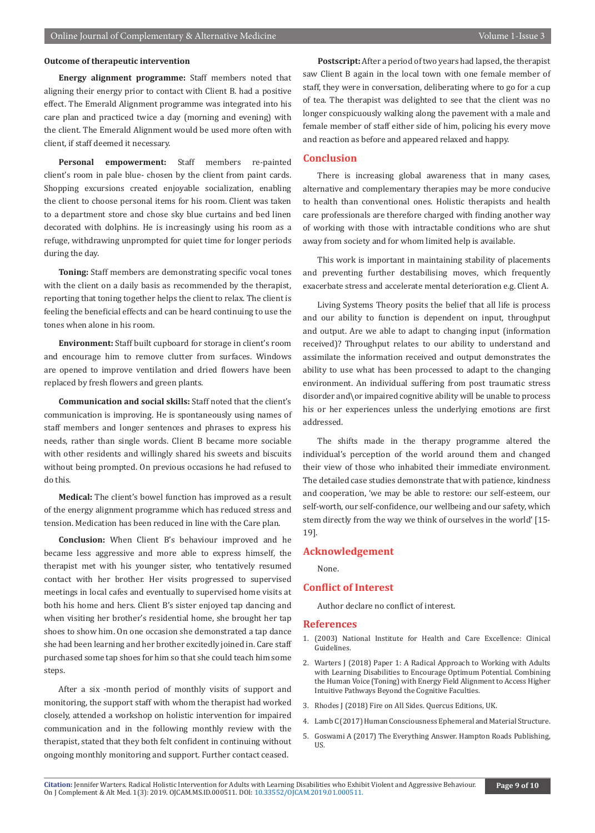# **Outcome of therapeutic intervention**

**Energy alignment programme:** Staff members noted that aligning their energy prior to contact with Client B. had a positive effect. The Emerald Alignment programme was integrated into his care plan and practiced twice a day (morning and evening) with the client. The Emerald Alignment would be used more often with client, if staff deemed it necessary.

**Personal empowerment:** Staff members re-painted client's room in pale blue- chosen by the client from paint cards. Shopping excursions created enjoyable socialization, enabling the client to choose personal items for his room. Client was taken to a department store and chose sky blue curtains and bed linen decorated with dolphins. He is increasingly using his room as a refuge, withdrawing unprompted for quiet time for longer periods during the day.

**Toning:** Staff members are demonstrating specific vocal tones with the client on a daily basis as recommended by the therapist, reporting that toning together helps the client to relax. The client is feeling the beneficial effects and can be heard continuing to use the tones when alone in his room.

**Environment:** Staff built cupboard for storage in client's room and encourage him to remove clutter from surfaces. Windows are opened to improve ventilation and dried flowers have been replaced by fresh flowers and green plants.

**Communication and social skills:** Staff noted that the client's communication is improving. He is spontaneously using names of staff members and longer sentences and phrases to express his needs, rather than single words. Client B became more sociable with other residents and willingly shared his sweets and biscuits without being prompted. On previous occasions he had refused to do this.

**Medical:** The client's bowel function has improved as a result of the energy alignment programme which has reduced stress and tension. Medication has been reduced in line with the Care plan.

**Conclusion:** When Client B's behaviour improved and he became less aggressive and more able to express himself, the therapist met with his younger sister, who tentatively resumed contact with her brother. Her visits progressed to supervised meetings in local cafes and eventually to supervised home visits at both his home and hers. Client B's sister enjoyed tap dancing and when visiting her brother's residential home, she brought her tap shoes to show him. On one occasion she demonstrated a tap dance she had been learning and her brother excitedly joined in. Care staff purchased some tap shoes for him so that she could teach him some steps.

After a six -month period of monthly visits of support and monitoring, the support staff with whom the therapist had worked closely, attended a workshop on holistic intervention for impaired communication and in the following monthly review with the therapist, stated that they both felt confident in continuing without ongoing monthly monitoring and support. Further contact ceased.

**Postscript:** After a period of two years had lapsed, the therapist saw Client B again in the local town with one female member of staff, they were in conversation, deliberating where to go for a cup of tea. The therapist was delighted to see that the client was no longer conspicuously walking along the pavement with a male and female member of staff either side of him, policing his every move and reaction as before and appeared relaxed and happy.

# **Conclusion**

There is increasing global awareness that in many cases, alternative and complementary therapies may be more conducive to health than conventional ones. Holistic therapists and health care professionals are therefore charged with finding another way of working with those with intractable conditions who are shut away from society and for whom limited help is available.

This work is important in maintaining stability of placements and preventing further destabilising moves, which frequently exacerbate stress and accelerate mental deterioration e.g. Client A.

Living Systems Theory posits the belief that all life is process and our ability to function is dependent on input, throughput and output. Are we able to adapt to changing input (information received)? Throughput relates to our ability to understand and assimilate the information received and output demonstrates the ability to use what has been processed to adapt to the changing environment. An individual suffering from post traumatic stress disorder and\or impaired cognitive ability will be unable to process his or her experiences unless the underlying emotions are first addressed.

The shifts made in the therapy programme altered the individual's perception of the world around them and changed their view of those who inhabited their immediate environment. The detailed case studies demonstrate that with patience, kindness and cooperation, 'we may be able to restore: our self-esteem, our self-worth, our self-confidence, our wellbeing and our safety, which stem directly from the way we think of ourselves in the world' [15- 19].

#### **Acknowledgement**

None.

# **Conflict of Interest**

Author declare no conflict of interest.

# **References**

- 1. [\(2003\) National Institute for Health and Care Excellence: Clinical](https://www.ncbi.nlm.nih.gov/books/NBK11822/)  [Guidelines.](https://www.ncbi.nlm.nih.gov/books/NBK11822/)
- 2. Warters J (2018) Paper 1: A Radical Approach to Working with Adults with Learning Disabilities to Encourage Optimum Potential. Combining the Human Voice (Toning) with Energy Field Alignment to Access Higher Intuitive Pathways Beyond the Cognitive Faculties.
- 3. Rhodes J (2018) Fire on All Sides. Quercus Editions, UK.
- 4. Lamb C (2017) Human Consciousness Ephemeral and Material Structure.
- 5. Goswami A (2017) The Everything Answer. Hampton Roads Publishing, US.